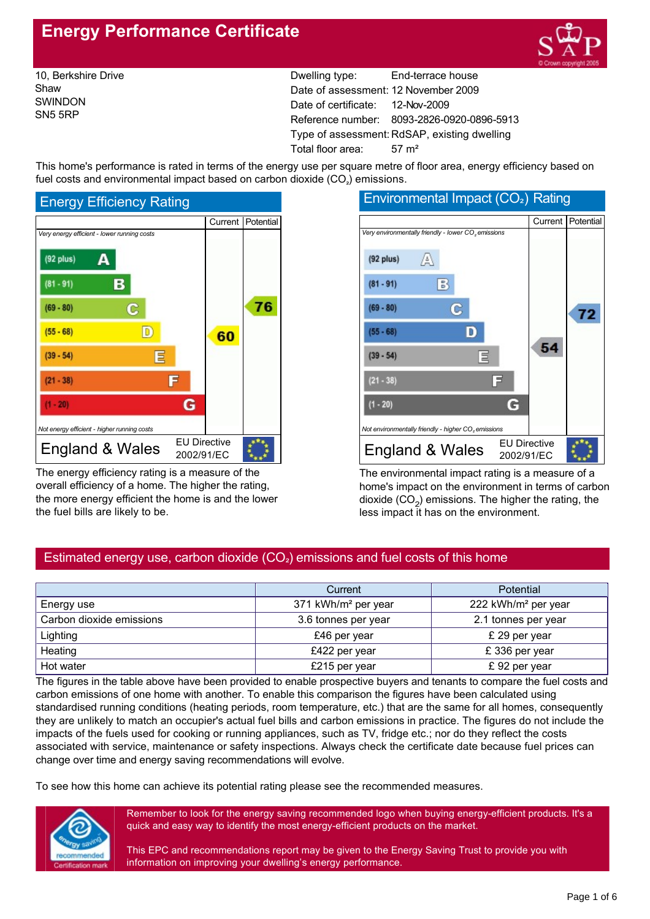# **Energy Performance Certificate**



10, Berkshire Drive Shaw SWINDON SN5 5RP

Dwelling type: End-terrace house Date of assessment: 12 November 2009 Date of certificate: 12-Nov-2009 Reference number: 8093-2826-0920-0896-5913 Type of assessment: RdSAP, existing dwelling Total floor area: 57 m<sup>2</sup>

This home's performance is rated in terms of the energy use per square metre of floor area, energy efficiency based on fuel costs and environmental impact based on carbon dioxide  $(CO<sub>2</sub>)$  emissions.



The energy efficiency rating is a measure of the overall efficiency of a home. The higher the rating, the more energy efficient the home is and the lower the fuel bills are likely to be.

#### Environmental Impact (CO<sub>2</sub>) Rating Current | Potential *Very environmentally friendly lower CO<sup>²</sup> emissions*  $(92$  plus) A B.  $(81 - 91)$  $(69 - 80)$ C 72  $(55 - 68)$ ה 54  $\equiv$  $(39 - 54)$ Ξ  $(21 - 38)$  $(1 - 20)$ G *Not environmentally friendly higher CO<sup>²</sup> emissions* England & Wales  $\frac{EU \text{ Directive}}{2002/01/E}$ 2002/91/EC

The environmental impact rating is a measure of a home's impact on the environment in terms of carbon dioxide  $(CO<sub>2</sub>)$  emissions. The higher the rating, the less impact it has on the environment.

## Estimated energy use, carbon dioxide  $(CO<sub>2</sub>)$  emissions and fuel costs of this home

|                          | Current                         | <b>Potential</b>                |
|--------------------------|---------------------------------|---------------------------------|
| Energy use               | 371 kWh/m <sup>2</sup> per year | 222 kWh/m <sup>2</sup> per year |
| Carbon dioxide emissions | 3.6 tonnes per year             | 2.1 tonnes per year             |
| Lighting                 | £46 per year                    | £ 29 per year                   |
| Heating                  | £422 per year                   | £336 per year                   |
| Hot water                | £215 per year                   | £92 per year                    |

The figures in the table above have been provided to enable prospective buyers and tenants to compare the fuel costs and carbon emissions of one home with another. To enable this comparison the figures have been calculated using standardised running conditions (heating periods, room temperature, etc.) that are the same for all homes, consequently they are unlikely to match an occupier's actual fuel bills and carbon emissions in practice. The figures do not include the impacts of the fuels used for cooking or running appliances, such as TV, fridge etc.; nor do they reflect the costs associated with service, maintenance or safety inspections. Always check the certificate date because fuel prices can change over time and energy saving recommendations will evolve.

To see how this home can achieve its potential rating please see the recommended measures.



Remember to look for the energy saving recommended logo when buying energyefficient products. It's a quick and easy way to identify the most energy-efficient products on the market.

This EPC and recommendations report may be given to the Energy Saving Trust to provide you with information on improving your dwelling's energy performance.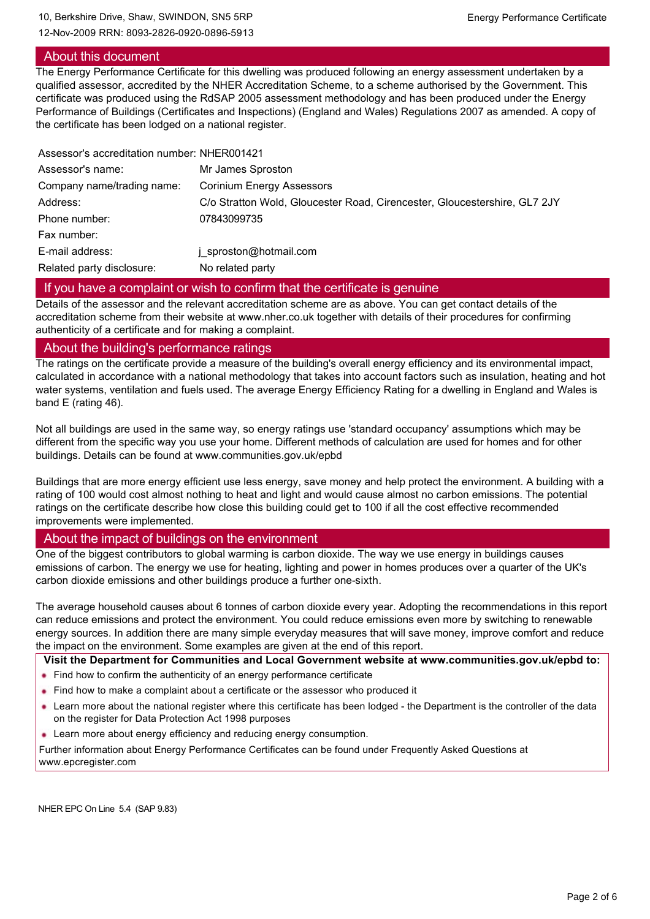#### 10, Berkshire Drive, Shaw, SWINDON, SN5 5RP Energy Performance Certificate

## About this document

The Energy Performance Certificate for this dwelling was produced following an energy assessment undertaken by a qualified assessor, accredited by the NHER Accreditation Scheme, to a scheme authorised by the Government. This certificate was produced using the RdSAP 2005 assessment methodology and has been produced under the Energy Performance of Buildings (Certificates and Inspections) (England and Wales) Regulations 2007 as amended. A copy of the certificate has been lodged on a national register.

| Assessor's accreditation number: NHER001421 |                                                                           |  |  |
|---------------------------------------------|---------------------------------------------------------------------------|--|--|
| Assessor's name:                            | Mr James Sproston                                                         |  |  |
| Company name/trading name:                  | <b>Corinium Energy Assessors</b>                                          |  |  |
| Address:                                    | C/o Stratton Wold, Gloucester Road, Cirencester, Gloucestershire, GL7 2JY |  |  |
| Phone number:                               | 07843099735                                                               |  |  |
| Fax number:                                 |                                                                           |  |  |
| E-mail address:                             | j sproston@hotmail.com                                                    |  |  |
| Related party disclosure:                   | No related party                                                          |  |  |

## If you have a complaint or wish to confirm that the certificate is genuine

Details of the assessor and the relevant accreditation scheme are as above. You can get contact details of the accreditation scheme from their website at www.nher.co.uk together with details of their procedures for confirming authenticity of a certificate and for making a complaint.

## About the building's performance ratings

The ratings on the certificate provide a measure of the building's overall energy efficiency and its environmental impact, calculated in accordance with a national methodology that takes into account factors such as insulation, heating and hot water systems, ventilation and fuels used. The average Energy Efficiency Rating for a dwelling in England and Wales is band E (rating 46).

Not all buildings are used in the same way, so energy ratings use 'standard occupancy' assumptions which may be different from the specific way you use your home. Different methods of calculation are used for homes and for other buildings. Details can be found at www.communities.gov.uk/epbd

Buildings that are more energy efficient use less energy, save money and help protect the environment. A building with a rating of 100 would cost almost nothing to heat and light and would cause almost no carbon emissions. The potential ratings on the certificate describe how close this building could get to 100 if all the cost effective recommended improvements were implemented.

## About the impact of buildings on the environment

One of the biggest contributors to global warming is carbon dioxide. The way we use energy in buildings causes emissions of carbon. The energy we use for heating, lighting and power in homes produces over a quarter of the UK's carbon dioxide emissions and other buildings produce a further onesixth.

The average household causes about 6 tonnes of carbon dioxide every year. Adopting the recommendations in this report can reduce emissions and protect the environment. You could reduce emissions even more by switching to renewable energy sources. In addition there are many simple everyday measures that will save money, improve comfort and reduce the impact on the environment. Some examples are given at the end of this report.

**Visit the Department for Communities and Local Government website at www.communities.gov.uk/epbd to:**

- Find how to confirm the authenticity of an energy performance certificate
- Find how to make a complaint about a certificate or the assessor who produced it
- Learn more about the national register where this certificate has been lodged the Department is the controller of the data on the register for Data Protection Act 1998 purposes
- **Learn more about energy efficiency and reducing energy consumption.**

Further information about Energy Performance Certificates can be found under Frequently Asked Questions at www.epcregister.com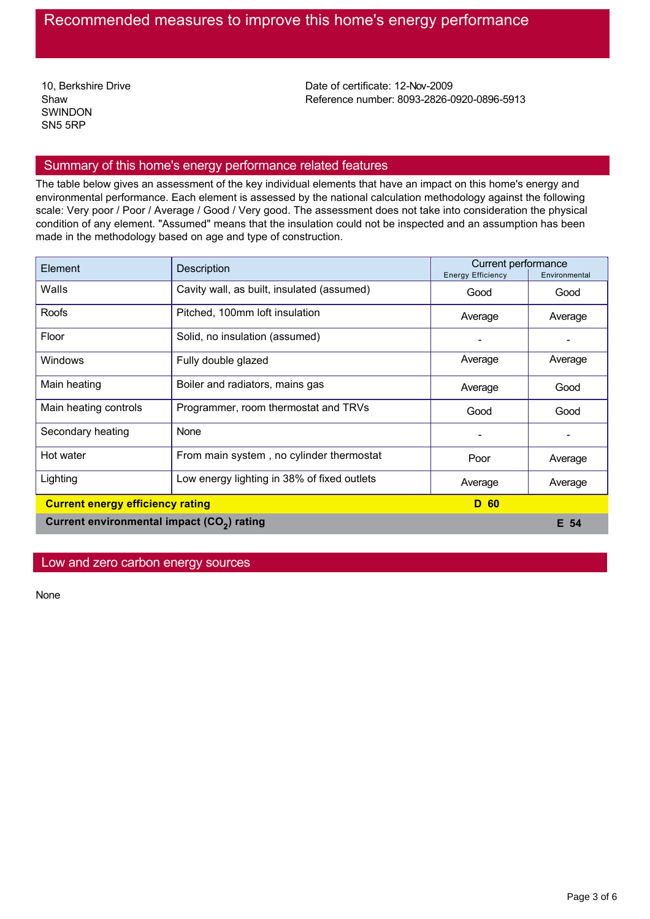10, Berkshire Drive Shaw SWINDON SN5 5RP

Date of certificate: 12-Nov-2009 Reference number: 8093-2826-0920-0896-5913

## Summary of this home's energy performance related features

The table below gives an assessment of the key individual elements that have an impact on this home's energy and environmental performance. Each element is assessed by the national calculation methodology against the following scale: Very poor / Poor / Average / Good / Very good. The assessment does not take into consideration the physical condition of any element. "Assumed" means that the insulation could not be inspected and an assumption has been made in the methodology based on age and type of construction.

| Element                                                | Current performance<br>Description<br><b>Energy Efficiency</b> |             | Environmental |
|--------------------------------------------------------|----------------------------------------------------------------|-------------|---------------|
| Walls                                                  | Cavity wall, as built, insulated (assumed)                     | Good        | Good          |
| Roofs                                                  | Pitched, 100mm loft insulation                                 | Average     | Average       |
| Floor                                                  | Solid, no insulation (assumed)                                 |             |               |
| Windows                                                | Fully double glazed                                            | Average     | Average       |
| Main heating                                           | Boiler and radiators, mains gas                                | Average     | Good          |
| Main heating controls                                  | Programmer, room thermostat and TRVs                           | Good        | Good          |
| Secondary heating                                      | None                                                           |             |               |
| Hot water                                              | From main system, no cylinder thermostat                       | Poor        | Average       |
| Lighting                                               | Low energy lighting in 38% of fixed outlets                    | Average     | Average       |
| <b>Current energy efficiency rating</b>                |                                                                | <b>D</b> 60 |               |
| Current environmental impact (CO <sub>2</sub> ) rating |                                                                |             | E 54          |

## Low and zero carbon energy sources

None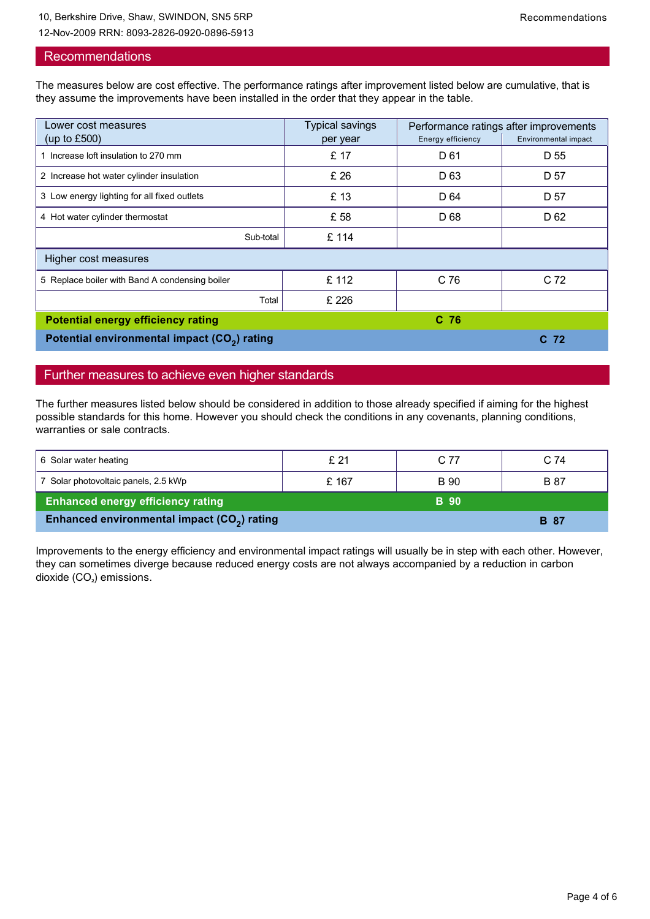10, Berkshire Drive, Shaw, SWINDON, SN5 5RP Recommendations

## **Recommendations**

The measures below are cost effective. The performance ratings after improvement listed below are cumulative, that is they assume the improvements have been installed in the order that they appear in the table.

| Lower cost measures                                      | <b>Typical savings</b> | Performance ratings after improvements |                      |  |
|----------------------------------------------------------|------------------------|----------------------------------------|----------------------|--|
| (up to $£500$ )                                          | per year               | Energy efficiency                      | Environmental impact |  |
| Increase loft insulation to 270 mm                       | £ 17                   | D 61                                   | D 55                 |  |
| 2 Increase hot water cylinder insulation                 | £ 26                   | D <sub>63</sub>                        | D 57                 |  |
| 3 Low energy lighting for all fixed outlets              | £ 13                   | D 64                                   | D 57                 |  |
| 4 Hot water cylinder thermostat                          | £ 58                   | D <sub>68</sub>                        | D 62                 |  |
| Sub-total                                                | £ 114                  |                                        |                      |  |
| Higher cost measures                                     |                        |                                        |                      |  |
| 5 Replace boiler with Band A condensing boiler           | £ 112                  | C <sub>76</sub>                        | C <sub>72</sub>      |  |
| Total                                                    | £ 226                  |                                        |                      |  |
| <b>Potential energy efficiency rating</b>                |                        | $C$ 76                                 |                      |  |
| Potential environmental impact (CO <sub>2</sub> ) rating |                        |                                        | C <sub>72</sub>      |  |

## Further measures to achieve even higher standards

The further measures listed below should be considered in addition to those already specified if aiming for the highest possible standards for this home. However you should check the conditions in any covenants, planning conditions, warranties or sale contracts.

| 6 Solar water heating                                   | £21   | C 77        | C 74        |
|---------------------------------------------------------|-------|-------------|-------------|
| 7 Solar photovoltaic panels, 2.5 kWp                    | £ 167 | B 90        | B 87        |
| <b>Enhanced energy efficiency rating</b>                |       | <b>B</b> 90 |             |
| Enhanced environmental impact (CO <sub>2</sub> ) rating |       |             | <b>B</b> 87 |

Improvements to the energy efficiency and environmental impact ratings will usually be in step with each other. However, they can sometimes diverge because reduced energy costs are not always accompanied by a reduction in carbon dioxide  $(CO<sub>2</sub>)$  emissions.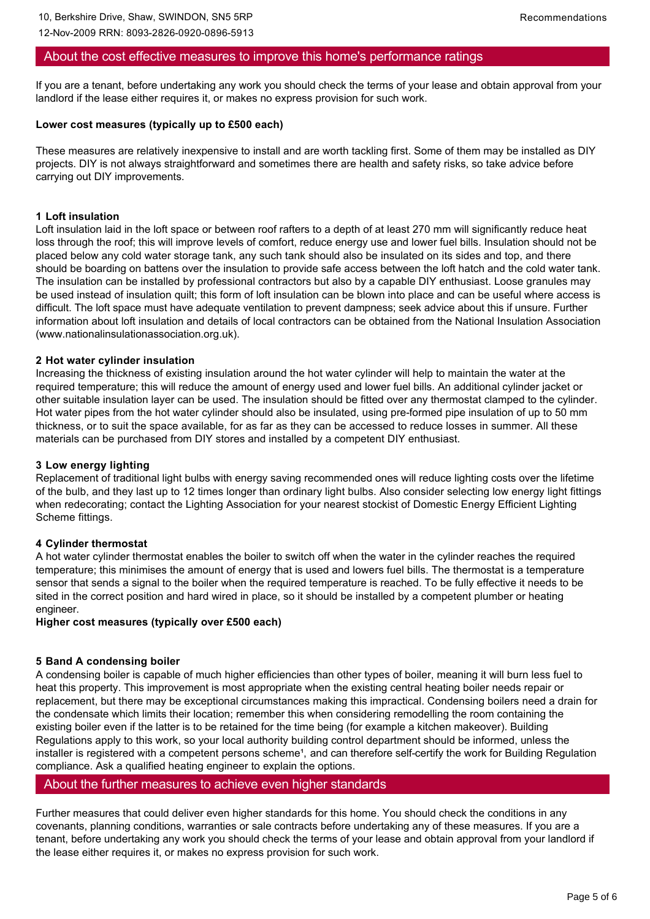## About the cost effective measures to improve this home's performance ratings

If you are a tenant, before undertaking any work you should check the terms of your lease and obtain approval from your landlord if the lease either requires it, or makes no express provision for such work.

#### **Lower cost measures (typically up to £500 each)**

These measures are relatively inexpensive to install and are worth tackling first. Some of them may be installed as DIY projects. DIY is not always straightforward and sometimes there are health and safety risks, so take advice before carrying out DIY improvements.

#### **1 Loft insulation**

Loft insulation laid in the loft space or between roof rafters to a depth of at least 270 mm will significantly reduce heat loss through the roof; this will improve levels of comfort, reduce energy use and lower fuel bills. Insulation should not be placed below any cold water storage tank, any such tank should also be insulated on its sides and top, and there should be boarding on battens over the insulation to provide safe access between the loft hatch and the cold water tank. The insulation can be installed by professional contractors but also by a capable DIY enthusiast. Loose granules may be used instead of insulation quilt; this form of loft insulation can be blown into place and can be useful where access is difficult. The loft space must have adequate ventilation to prevent dampness; seek advice about this if unsure. Further information about loft insulation and details of local contractors can be obtained from the National Insulation Association (www.nationalinsulationassociation.org.uk).

#### **2 Hot water cylinder insulation**

Increasing the thickness of existing insulation around the hot water cylinder will help to maintain the water at the required temperature; this will reduce the amount of energy used and lower fuel bills. An additional cylinder jacket or other suitable insulation layer can be used. The insulation should be fitted over any thermostat clamped to the cylinder. Hot water pipes from the hot water cylinder should also be insulated, using pre-formed pipe insulation of up to 50 mm thickness, or to suit the space available, for as far as they can be accessed to reduce losses in summer. All these materials can be purchased from DIY stores and installed by a competent DIY enthusiast.

#### **3 Low energy lighting**

Replacement of traditional light bulbs with energy saving recommended ones will reduce lighting costs over the lifetime of the bulb, and they last up to 12 times longer than ordinary light bulbs. Also consider selecting low energy light fittings when redecorating; contact the Lighting Association for your nearest stockist of Domestic Energy Efficient Lighting Scheme fittings.

#### **4 Cylinder thermostat**

A hot water cylinder thermostat enables the boiler to switch off when the water in the cylinder reaches the required temperature; this minimises the amount of energy that is used and lowers fuel bills. The thermostat is a temperature sensor that sends a signal to the boiler when the required temperature is reached. To be fully effective it needs to be sited in the correct position and hard wired in place, so it should be installed by a competent plumber or heating engineer.

## **Higher cost measures (typically over £500 each)**

#### **5 Band A condensing boiler**

A condensing boiler is capable of much higher efficiencies than other types of boiler, meaning it will burn less fuel to heat this property. This improvement is most appropriate when the existing central heating boiler needs repair or replacement, but there may be exceptional circumstances making this impractical. Condensing boilers need a drain for the condensate which limits their location; remember this when considering remodelling the room containing the existing boiler even if the latter is to be retained for the time being (for example a kitchen makeover). Building Regulations apply to this work, so your local authority building control department should be informed, unless the installer is registered with a competent persons scheme<sup>1</sup>, and can therefore self-certify the work for Building Regulation compliance. Ask a qualified heating engineer to explain the options.

## About the further measures to achieve even higher standards

Further measures that could deliver even higher standards for this home. You should check the conditions in any covenants, planning conditions, warranties or sale contracts before undertaking any of these measures. If you are a tenant, before undertaking any work you should check the terms of your lease and obtain approval from your landlord if the lease either requires it, or makes no express provision for such work.